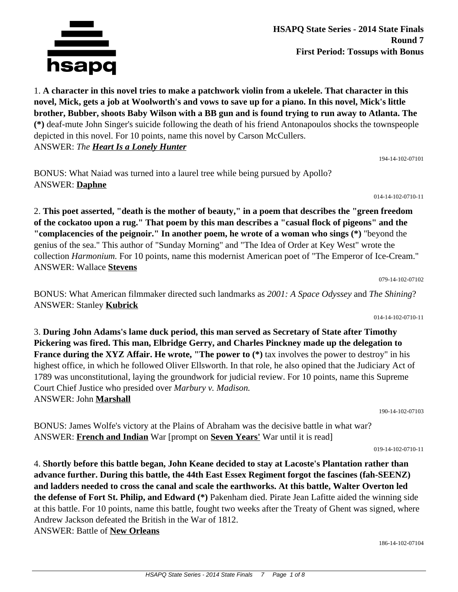

1. **A character in this novel tries to make a patchwork violin from a ukelele. That character in this novel, Mick, gets a job at Woolworth's and vows to save up for a piano. In this novel, Mick's little brother, Bubber, shoots Baby Wilson with a BB gun and is found trying to run away to Atlanta. The (\*)** deaf-mute John Singer's suicide following the death of his friend Antonapoulos shocks the townspeople depicted in this novel. For 10 points, name this novel by Carson McCullers. ANSWER: *The Heart Is a Lonely Hunter*

194-14-102-07101

BONUS: What Naiad was turned into a laurel tree while being pursued by Apollo? ANSWER: **Daphne**

014-14-102-0710-11

2. **This poet asserted, "death is the mother of beauty," in a poem that describes the "green freedom of the cockatoo upon a rug." That poem by this man describes a "casual flock of pigeons" and the "complacencies of the peignoir." In another poem, he wrote of a woman who sings (\*)** "beyond the genius of the sea." This author of "Sunday Morning" and "The Idea of Order at Key West" wrote the collection *Harmonium.* For 10 points, name this modernist American poet of "The Emperor of Ice-Cream." ANSWER: Wallace **Stevens**

079-14-102-07102

BONUS: What American filmmaker directed such landmarks as *2001: A Space Odyssey* and *The Shining*? ANSWER: Stanley **Kubrick**

014-14-102-0710-11

3. **During John Adams's lame duck period, this man served as Secretary of State after Timothy Pickering was fired. This man, Elbridge Gerry, and Charles Pinckney made up the delegation to France during the XYZ Affair. He wrote, "The power to**  $(*)$  **tax involves the power to destroy" in his** highest office, in which he followed Oliver Ellsworth. In that role, he also opined that the Judiciary Act of 1789 was unconstitutional, laying the groundwork for judicial review. For 10 points, name this Supreme Court Chief Justice who presided over *Marbury v. Madison.* ANSWER: John **Marshall**

190-14-102-07103

BONUS: James Wolfe's victory at the Plains of Abraham was the decisive battle in what war? ANSWER: **French and Indian** War [prompt on **Seven Years'** War until it is read]

019-14-102-0710-11

4. **Shortly before this battle began, John Keane decided to stay at Lacoste's Plantation rather than advance further. During this battle, the 44th East Essex Regiment forgot the fascines (fah-SEENZ) and ladders needed to cross the canal and scale the earthworks. At this battle, Walter Overton led the defense of Fort St. Philip, and Edward (\*)** Pakenham died. Pirate Jean Lafitte aided the winning side at this battle. For 10 points, name this battle, fought two weeks after the Treaty of Ghent was signed, where Andrew Jackson defeated the British in the War of 1812. ANSWER: Battle of **New Orleans**

186-14-102-07104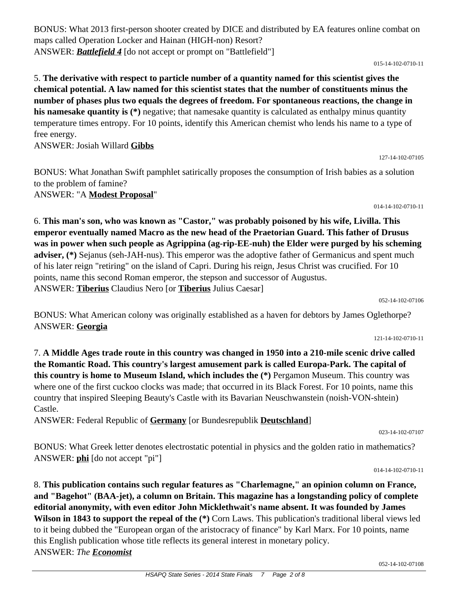052-14-102-07108

BONUS: What 2013 first-person shooter created by DICE and distributed by EA features online combat on maps called Operation Locker and Hainan (HIGH-non) Resort? ANSWER: *Battlefield 4* [do not accept or prompt on "Battlefield"]

5. **The derivative with respect to particle number of a quantity named for this scientist gives the chemical potential. A law named for this scientist states that the number of constituents minus the number of phases plus two equals the degrees of freedom. For spontaneous reactions, the change in his namesake quantity is (\*)** negative; that namesake quantity is calculated as enthalpy minus quantity temperature times entropy. For 10 points, identify this American chemist who lends his name to a type of free energy.

ANSWER: Josiah Willard **Gibbs**

BONUS: What Jonathan Swift pamphlet satirically proposes the consumption of Irish babies as a solution to the problem of famine? ANSWER: "A **Modest Proposal**"

6. **This man's son, who was known as "Castor," was probably poisoned by his wife, Livilla. This emperor eventually named Macro as the new head of the Praetorian Guard. This father of Drusus was in power when such people as Agrippina (ag-rip-EE-nuh) the Elder were purged by his scheming adviser, (\*)** Sejanus (seh-JAH-nus). This emperor was the adoptive father of Germanicus and spent much of his later reign "retiring" on the island of Capri. During his reign, Jesus Christ was crucified. For 10 points, name this second Roman emperor, the stepson and successor of Augustus. ANSWER: **Tiberius** Claudius Nero [or **Tiberius** Julius Caesar]

052-14-102-07106

BONUS: What American colony was originally established as a haven for debtors by James Oglethorpe? ANSWER: **Georgia**

121-14-102-0710-11

7. **A Middle Ages trade route in this country was changed in 1950 into a 210-mile scenic drive called the Romantic Road. This country's largest amusement park is called Europa-Park. The capital of this country is home to Museum Island, which includes the (\*)** Pergamon Museum. This country was where one of the first cuckoo clocks was made; that occurred in its Black Forest. For 10 points, name this country that inspired Sleeping Beauty's Castle with its Bavarian Neuschwanstein (noish-VON-shtein) Castle.

ANSWER: Federal Republic of **Germany** [or Bundesrepublik **Deutschland**]

023-14-102-07107

BONUS: What Greek letter denotes electrostatic potential in physics and the golden ratio in mathematics? ANSWER: **phi** [do not accept "pi"]

014-14-102-0710-11

8. **This publication contains such regular features as "Charlemagne," an opinion column on France, and "Bagehot" (BAA-jet), a column on Britain. This magazine has a longstanding policy of complete editorial anonymity, with even editor John Micklethwait's name absent. It was founded by James Wilson in 1843 to support the repeal of the (\*)** Corn Laws. This publication's traditional liberal views led to it being dubbed the "European organ of the aristocracy of finance" by Karl Marx. For 10 points, name this English publication whose title reflects its general interest in monetary policy. ANSWER: *The Economist*

#### 015-14-102-0710-11

127-14-102-07105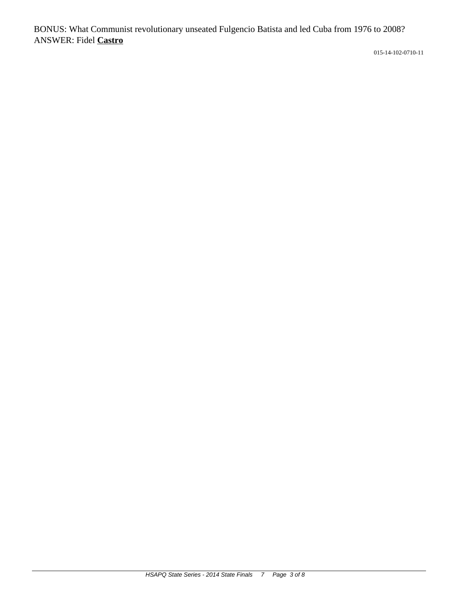BONUS: What Communist revolutionary unseated Fulgencio Batista and led Cuba from 1976 to 2008? ANSWER: Fidel **Castro**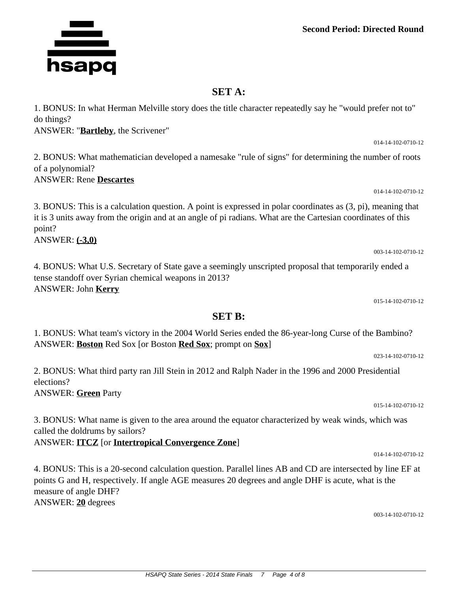### **Second Period: Directed Round**

# **SET A:**

1. BONUS: In what Herman Melville story does the title character repeatedly say he "would prefer not to" do things?

ANSWER: "**Bartleby**, the Scrivener"

2. BONUS: What mathematician developed a namesake "rule of signs" for determining the number of roots of a polynomial?

ANSWER: Rene **Descartes**

3. BONUS: This is a calculation question. A point is expressed in polar coordinates as (3, pi), meaning that it is 3 units away from the origin and at an angle of pi radians. What are the Cartesian coordinates of this point?

ANSWER: **(-3,0)**

4. BONUS: What U.S. Secretary of State gave a seemingly unscripted proposal that temporarily ended a tense standoff over Syrian chemical weapons in 2013? ANSWER: John **Kerry**

015-14-102-0710-12

023-14-102-0710-12

# **SET B:**

1. BONUS: What team's victory in the 2004 World Series ended the 86-year-long Curse of the Bambino? ANSWER: **Boston** Red Sox [or Boston **Red Sox**; prompt on **Sox**]

2. BONUS: What third party ran Jill Stein in 2012 and Ralph Nader in the 1996 and 2000 Presidential elections?

ANSWER: **Green** Party

015-14-102-0710-12

014-14-102-0710-12

3. BONUS: What name is given to the area around the equator characterized by weak winds, which was called the doldrums by sailors?

ANSWER: **ITCZ** [or **Intertropical Convergence Zone**]

4. BONUS: This is a 20-second calculation question. Parallel lines AB and CD are intersected by line EF at points G and H, respectively. If angle AGE measures 20 degrees and angle DHF is acute, what is the measure of angle DHF? ANSWER: **20** degrees

003-14-102-0710-12



014-14-102-0710-12

014-14-102-0710-12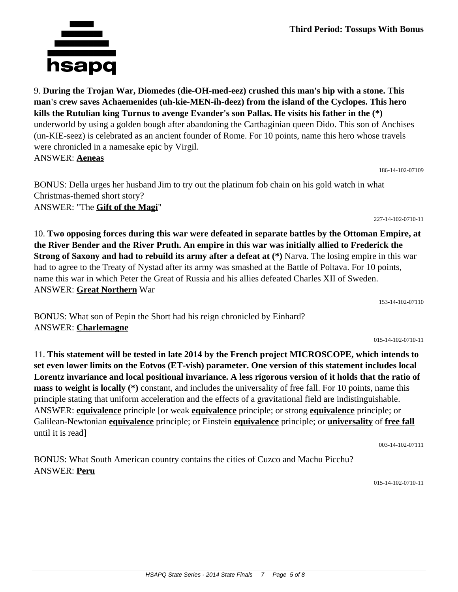9. **During the Trojan War, Diomedes (die-OH-med-eez) crushed this man's hip with a stone. This man's crew saves Achaemenides (uh-kie-MEN-ih-deez) from the island of the Cyclopes. This hero kills the Rutulian king Turnus to avenge Evander's son Pallas. He visits his father in the (\*)** underworld by using a golden bough after abandoning the Carthaginian queen Dido. This son of Anchises (un-KIE-seez) is celebrated as an ancient founder of Rome. For 10 points, name this hero whose travels were chronicled in a namesake epic by Virgil. ANSWER: **Aeneas**

BONUS: Della urges her husband Jim to try out the platinum fob chain on his gold watch in what Christmas-themed short story? ANSWER: "The **Gift of the Magi**"

10. **Two opposing forces during this war were defeated in separate battles by the Ottoman Empire, at the River Bender and the River Pruth. An empire in this war was initially allied to Frederick the Strong of Saxony and had to rebuild its army after a defeat at (\*)** Narva. The losing empire in this war had to agree to the Treaty of Nystad after its army was smashed at the Battle of Poltava. For 10 points, name this war in which Peter the Great of Russia and his allies defeated Charles XII of Sweden. ANSWER: **Great Northern** War

153-14-102-07110

015-14-102-0710-11

11. **This statement will be tested in late 2014 by the French project MICROSCOPE, which intends to set even lower limits on the Eotvos (ET-vish) parameter. One version of this statement includes local Lorentz invariance and local positional invariance. A less rigorous version of it holds that the ratio of mass to weight is locally (\*)** constant, and includes the universality of free fall. For 10 points, name this principle stating that uniform acceleration and the effects of a gravitational field are indistinguishable. ANSWER: **equivalence** principle [or weak **equivalence** principle; or strong **equivalence** principle; or Galilean-Newtonian **equivalence** principle; or Einstein **equivalence** principle; or **universality** of **free fall** until it is read]

003-14-102-07111

BONUS: What South American country contains the cities of Cuzco and Machu Picchu? ANSWER: **Peru**

BONUS: What son of Pepin the Short had his reign chronicled by Einhard?

015-14-102-0710-11



ANSWER: **Charlemagne**

186-14-102-07109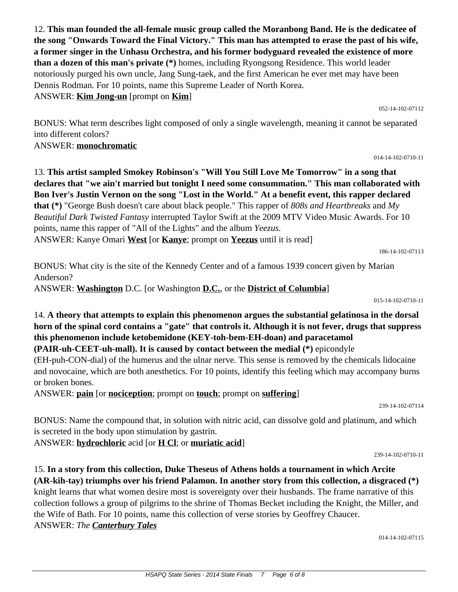12. **This man founded the all-female music group called the Moranbong Band. He is the dedicatee of the song "Onwards Toward the Final Victory." This man has attempted to erase the past of his wife, a former singer in the Unhasu Orchestra, and his former bodyguard revealed the existence of more than a dozen of this man's private (\*)** homes, including Ryongsong Residence. This world leader notoriously purged his own uncle, Jang Sung-taek, and the first American he ever met may have been Dennis Rodman. For 10 points, name this Supreme Leader of North Korea. ANSWER: **Kim Jong-un** [prompt on **Kim**]

052-14-102-07112

014-14-102-0710-11

BONUS: What term describes light composed of only a single wavelength, meaning it cannot be separated into different colors?

### ANSWER: **monochromatic**

13. **This artist sampled Smokey Robinson's "Will You Still Love Me Tomorrow" in a song that declares that "we ain't married but tonight I need some consummation." This man collaborated with Bon Iver's Justin Vernon on the song "Lost in the World." At a benefit event, this rapper declared that (\*)** "George Bush doesn't care about black people." This rapper of *808s and Heartbreaks* and *My Beautiful Dark Twisted Fantasy* interrupted Taylor Swift at the 2009 MTV Video Music Awards. For 10 points, name this rapper of "All of the Lights" and the album *Yeezus.* ANSWER: Kanye Omari **West** [or **Kanye**; prompt on **Yeezus** until it is read]

186-14-102-07113

BONUS: What city is the site of the Kennedy Center and of a famous 1939 concert given by Marian Anderson?

ANSWER: **Washington** D.C. [or Washington **D.C.**, or the **District of Columbia**]

015-14-102-0710-11

14. **A theory that attempts to explain this phenomenon argues the substantial gelatinosa in the dorsal horn of the spinal cord contains a "gate" that controls it. Although it is not fever, drugs that suppress this phenomenon include ketobemidone (KEY-toh-bem-EH-doan) and paracetamol (PAIR-uh-CEET-uh-mall). It is caused by contact between the medial (\*)** epicondyle

(EH-puh-CON-dial) of the humerus and the ulnar nerve. This sense is removed by the chemicals lidocaine and novocaine, which are both anesthetics. For 10 points, identify this feeling which may accompany burns or broken bones.

ANSWER: **pain** [or **nociception**; prompt on **touch**; prompt on **suffering**]

239-14-102-07114

BONUS: Name the compound that, in solution with nitric acid, can dissolve gold and platinum, and which is secreted in the body upon stimulation by gastrin.

ANSWER: **hydrochloric** acid [or **H Cl**; or **muriatic acid**]

239-14-102-0710-11

# 15. **In a story from this collection, Duke Theseus of Athens holds a tournament in which Arcite (AR-kih-tay) triumphs over his friend Palamon. In another story from this collection, a disgraced (\*)**

knight learns that what women desire most is sovereignty over their husbands. The frame narrative of this collection follows a group of pilgrims to the shrine of Thomas Becket including the Knight, the Miller, and the Wife of Bath. For 10 points, name this collection of verse stories by Geoffrey Chaucer. ANSWER: *The Canterbury Tales*

014-14-102-07115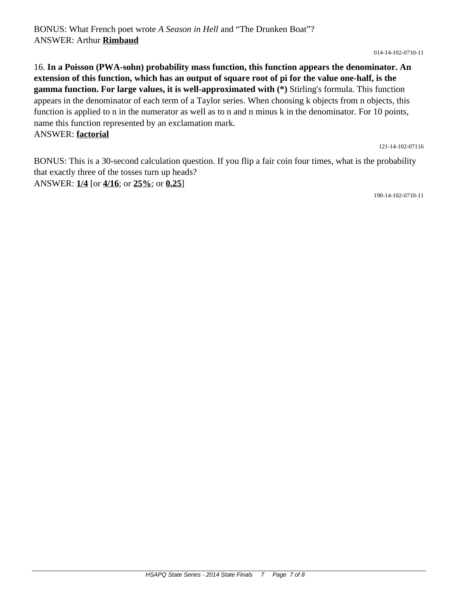014-14-102-0710-11

16. **In a Poisson (PWA-sohn) probability mass function, this function appears the denominator. An extension of this function, which has an output of square root of pi for the value one-half, is the gamma function. For large values, it is well-approximated with (\*)** Stirling's formula. This function appears in the denominator of each term of a Taylor series. When choosing k objects from n objects, this function is applied to n in the numerator as well as to n and n minus k in the denominator. For 10 points, name this function represented by an exclamation mark. ANSWER: **factorial**

121-14-102-07116

BONUS: This is a 30-second calculation question. If you flip a fair coin four times, what is the probability that exactly three of the tosses turn up heads? ANSWER: **1/4** [or **4/16**; or **25%**; or **0.25**]